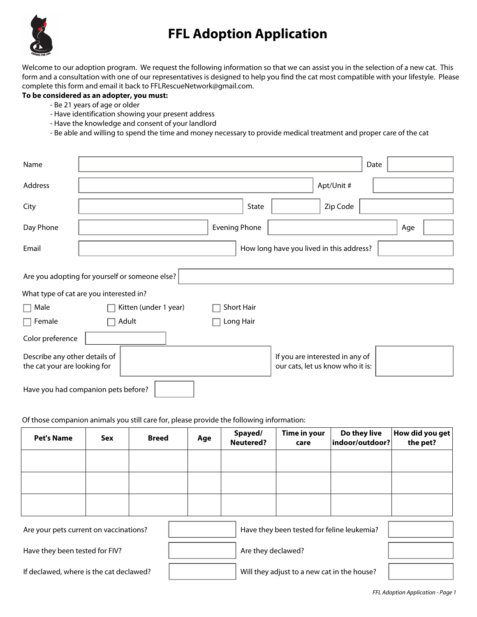

## **FFL Adoption Application**

Welcome to our adoption program. We request the following information so that we can assist you in the selection of a new cat. This form and a consultation with one of our representatives is designed to help you find the cat most compatible with your lifestyle. Please complete this form and email it back to FFLRescueNetwork@gmail.com.

## **To be considered as an adopter, you must:**

- Be 21 years of age or older
- Have identification showing your present address
- Have the knowledge and consent of your landlord
- Be able and willing to spend the time and money necessary to provide medical treatment and proper care of the cat

| Name                                                          |  |                       |  |                      |                   |  |                                                                     | Date |     |  |
|---------------------------------------------------------------|--|-----------------------|--|----------------------|-------------------|--|---------------------------------------------------------------------|------|-----|--|
| Address                                                       |  |                       |  |                      |                   |  | Apt/Unit #                                                          |      |     |  |
| City                                                          |  |                       |  |                      | State             |  | Zip Code                                                            |      |     |  |
| Day Phone                                                     |  |                       |  | <b>Evening Phone</b> |                   |  |                                                                     |      | Age |  |
| Email                                                         |  |                       |  |                      |                   |  | How long have you lived in this address?                            |      |     |  |
| Are you adopting for yourself or someone else?                |  |                       |  |                      |                   |  |                                                                     |      |     |  |
| What type of cat are you interested in?                       |  |                       |  |                      |                   |  |                                                                     |      |     |  |
| $\Box$ Male                                                   |  | Kitten (under 1 year) |  |                      | <b>Short Hair</b> |  |                                                                     |      |     |  |
| $\Box$ Female                                                 |  | Adult                 |  |                      | Long Hair         |  |                                                                     |      |     |  |
| Color preference                                              |  |                       |  |                      |                   |  |                                                                     |      |     |  |
| Describe any other details of<br>the cat your are looking for |  |                       |  |                      |                   |  | If you are interested in any of<br>our cats, let us know who it is: |      |     |  |
| Have you had companion pets before?                           |  |                       |  |                      |                   |  |                                                                     |      |     |  |

Of those companion animals you still care for, please provide the following information:

| <b>Pet's Name</b>                       | Sex | <b>Breed</b> | Age | Spayed/<br><b>Neutered?</b>         | Time in your<br>care                        | Do they live<br>indoor/outdoor? | How did you get<br>the pet? |
|-----------------------------------------|-----|--------------|-----|-------------------------------------|---------------------------------------------|---------------------------------|-----------------------------|
|                                         |     |              |     |                                     |                                             |                                 |                             |
|                                         |     |              |     |                                     |                                             |                                 |                             |
|                                         |     |              |     |                                     |                                             |                                 |                             |
| Are your pets current on vaccinations?  |     |              |     | $\blacktriangledown$                |                                             |                                 |                             |
| Have they been tested for FIV?          |     |              |     | Are they declawed?<br>$\vert \vert$ |                                             |                                 | $\blacktriangledown$        |
| If declawed, where is the cat declawed? |     |              |     | $\blacktriangledown$                | Will they adjust to a new cat in the house? |                                 | $\blacktriangledown$        |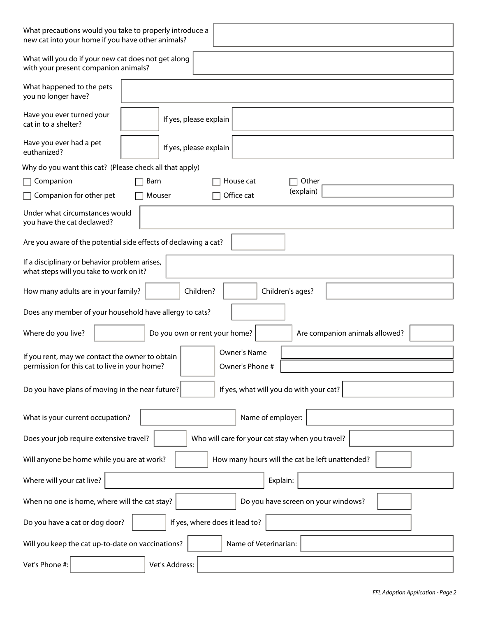| What precautions would you take to properly introduce a<br>new cat into your home if you have other animals?                        |  |  |  |  |  |  |
|-------------------------------------------------------------------------------------------------------------------------------------|--|--|--|--|--|--|
| What will you do if your new cat does not get along<br>with your present companion animals?                                         |  |  |  |  |  |  |
| What happened to the pets<br>you no longer have?                                                                                    |  |  |  |  |  |  |
| Have you ever turned your<br>If yes, please explain<br>cat in to a shelter?                                                         |  |  |  |  |  |  |
| Have you ever had a pet<br>If yes, please explain<br>euthanized?                                                                    |  |  |  |  |  |  |
| Why do you want this cat? (Please check all that apply)                                                                             |  |  |  |  |  |  |
| Companion<br>Barn<br>House cat<br>Other                                                                                             |  |  |  |  |  |  |
| (explain)<br>Office cat<br>Companion for other pet<br>Mouser                                                                        |  |  |  |  |  |  |
| Under what circumstances would<br>you have the cat declawed?                                                                        |  |  |  |  |  |  |
| Are you aware of the potential side effects of declawing a cat?<br>$\overline{\phantom{0}}$                                         |  |  |  |  |  |  |
| If a disciplinary or behavior problem arises,<br>what steps will you take to work on it?                                            |  |  |  |  |  |  |
| Children?<br>How many adults are in your family?<br>Children's ages?                                                                |  |  |  |  |  |  |
| Does any member of your household have allergy to cats?                                                                             |  |  |  |  |  |  |
| Do you own or rent your home?<br>Where do you live?<br>Are companion animals allowed?                                               |  |  |  |  |  |  |
| Owner's Name<br>If you rent, may we contact the owner to obtain<br>permission for this cat to live in your home?<br>Owner's Phone # |  |  |  |  |  |  |
| If yes, what will you do with your cat?<br>Do you have plans of moving in the near future?                                          |  |  |  |  |  |  |
| Name of employer:<br>What is your current occupation?                                                                               |  |  |  |  |  |  |
| Who will care for your cat stay when you travel?<br>Does your job require extensive travel?                                         |  |  |  |  |  |  |
| How many hours will the cat be left unattended?<br>Will anyone be home while you are at work?                                       |  |  |  |  |  |  |
| Where will your cat live?<br>Explain:<br>$\blacktriangledown$                                                                       |  |  |  |  |  |  |
| When no one is home, where will the cat stay?<br>Do you have screen on your windows?                                                |  |  |  |  |  |  |
| If yes, where does it lead to?<br>Do you have a cat or dog door?                                                                    |  |  |  |  |  |  |
| Name of Veterinarian:<br>Will you keep the cat up-to-date on vaccinations?                                                          |  |  |  |  |  |  |
| Vet's Phone #:<br>Vet's Address:                                                                                                    |  |  |  |  |  |  |